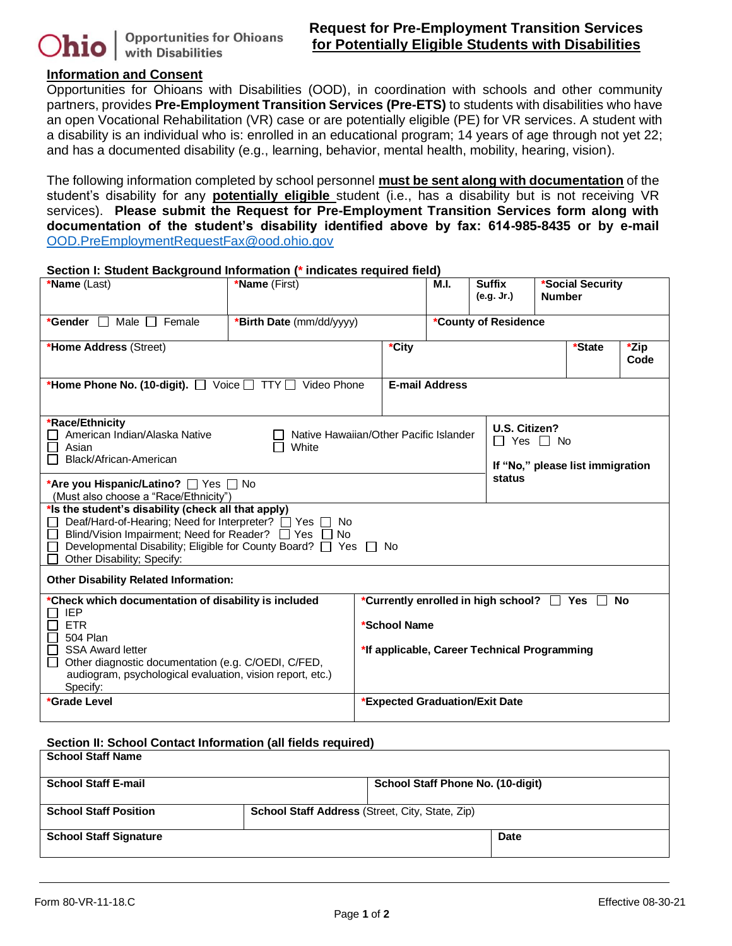

# **Information and Consent**

Opportunities for Ohioans with Disabilities (OOD), in coordination with schools and other community partners, provides **Pre-Employment Transition Services (Pre-ETS)** to students with disabilities who have an open Vocational Rehabilitation (VR) case or are potentially eligible (PE) for VR services. A student with a disability is an individual who is: enrolled in an educational program; 14 years of age through not yet 22; and has a documented disability (e.g., learning, behavior, mental health, mobility, hearing, vision).

The following information completed by school personnel **must be sent along with documentation** of the student's disability for any **potentially eligible** student (i.e., has a disability but is not receiving VR services). **Please submit the Request for Pre-Employment Transition Services form along with documentation of the student's disability identified above by fax: 614-985-8435 or by e-mail**  [OOD.PreEmploymentRequestFax@ood.ohio.gov](mailto:OOD.PreEmploymentRequestFax@ood.ohio.gov)

#### **Section I: Student Background Information (\* indicates required field)**

| *Name (Last)                                                                                                                                                                                                                                                           | <b>*Name</b> (First)     |                                | M.I.                                                                                                                           | <b>Suffix</b><br>(e.g. Jr.)                                               | *Social Security<br><b>Number</b> |  |  |  |
|------------------------------------------------------------------------------------------------------------------------------------------------------------------------------------------------------------------------------------------------------------------------|--------------------------|--------------------------------|--------------------------------------------------------------------------------------------------------------------------------|---------------------------------------------------------------------------|-----------------------------------|--|--|--|
| *Gender $\Box$<br>Male $\Box$ Female                                                                                                                                                                                                                                   | *Birth Date (mm/dd/yyyy) | *County of Residence           |                                                                                                                                |                                                                           |                                   |  |  |  |
| *Home Address (Street)                                                                                                                                                                                                                                                 |                          | *City                          | $\overline{\mathsf{z}}$ Zip<br>*State<br>Code                                                                                  |                                                                           |                                   |  |  |  |
| *Home Phone No. (10-digit). Voice TTY J Video Phone                                                                                                                                                                                                                    | <b>E-mail Address</b>    |                                |                                                                                                                                |                                                                           |                                   |  |  |  |
| *Race/Ethnicity<br>American Indian/Alaska Native<br>Native Hawaiian/Other Pacific Islander<br>Asian<br>White<br>Black/African-American                                                                                                                                 |                          |                                |                                                                                                                                | U.S. Citizen?<br>$\Box$ Yes $\Box$ No<br>If "No," please list immigration |                                   |  |  |  |
| *Are you Hispanic/Latino? □ Yes □ No<br>(Must also choose a "Race/Ethnicity")                                                                                                                                                                                          |                          |                                |                                                                                                                                | status                                                                    |                                   |  |  |  |
| *Is the student's disability (check all that apply)<br>Deaf/Hard-of-Hearing; Need for Interpreter? □ Yes □ No<br>Blind/Vision Impairment; Need for Reader? □ Yes □ No<br>Developmental Disability; Eligible for County Board? □ Yes □ No<br>Other Disability; Specify: |                          |                                |                                                                                                                                |                                                                           |                                   |  |  |  |
| <b>Other Disability Related Information:</b>                                                                                                                                                                                                                           |                          |                                |                                                                                                                                |                                                                           |                                   |  |  |  |
| *Check which documentation of disability is included<br><b>IEP</b><br><b>ETR</b><br>504 Plan<br><b>SSA Award letter</b><br>Other diagnostic documentation (e.g. C/OEDI, C/FED,<br>audiogram, psychological evaluation, vision report, etc.)<br>Specify:                |                          |                                | *Currently enrolled in high school?<br>T Yes<br>T<br><b>No</b><br>*School Name<br>*If applicable, Career Technical Programming |                                                                           |                                   |  |  |  |
| *Grade Level                                                                                                                                                                                                                                                           |                          | *Expected Graduation/Exit Date |                                                                                                                                |                                                                           |                                   |  |  |  |

#### **Section II: School Contact Information (all fields required)**

| <b>School Staff Name</b>      |                                                        |  |  |  |  |
|-------------------------------|--------------------------------------------------------|--|--|--|--|
| <b>School Staff E-mail</b>    | School Staff Phone No. (10-digit)                      |  |  |  |  |
| <b>School Staff Position</b>  | <b>School Staff Address (Street, City, State, Zip)</b> |  |  |  |  |
| <b>School Staff Signature</b> | Date                                                   |  |  |  |  |